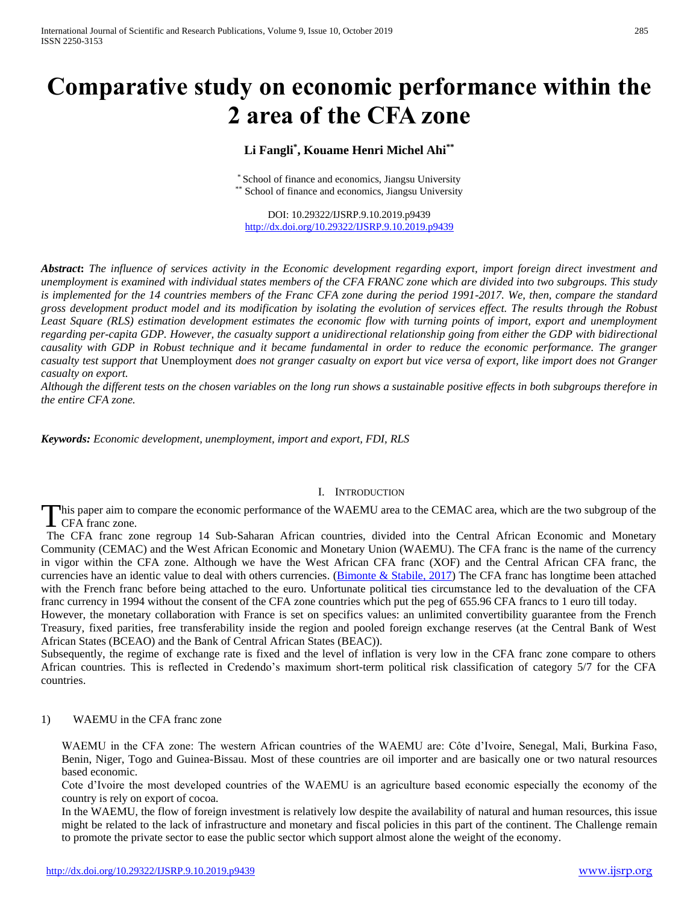# **Comparative study on economic performance within the 2 area of the CFA zone**

# **Li Fangli\* , Kouame Henri Michel Ahi\*\***

\* School of finance and economics, Jiangsu University \*\* School of finance and economics, Jiangsu University

DOI: 10.29322/IJSRP.9.10.2019.p9439 <http://dx.doi.org/10.29322/IJSRP.9.10.2019.p9439>

*Abstract***:** *The influence of services activity in the Economic development regarding export, import foreign direct investment and unemployment is examined with individual states members of the CFA FRANC zone which are divided into two subgroups. This study is implemented for the 14 countries members of the Franc CFA zone during the period 1991-2017. We, then, compare the standard gross development product model and its modification by isolating the evolution of services effect. The results through the Robust*  Least Square (RLS) estimation development estimates the economic flow with turning points of import, export and unemployment *regarding per-capita GDP. However, the casualty support a unidirectional relationship going from either the GDP with bidirectional causality with GDP in Robust technique and it became fundamental in order to reduce the economic performance. The granger casualty test support that* Unemployment *does not granger casualty on export but vice versa of export, like import does not Granger casualty on export.* 

*Although the different tests on the chosen variables on the long run shows a sustainable positive effects in both subgroups therefore in the entire CFA zone.*

*Keywords: Economic development, unemployment, import and export, FDI, RLS*

#### I. INTRODUCTION

his paper aim to compare the economic performance of the WAEMU area to the CEMAC area, which are the two subgroup of the This paper aim to<br>CFA franc zone.

 The CFA franc zone regroup 14 Sub-Saharan African countries, divided into the Central African Economic and Monetary Community (CEMAC) and the West African Economic and Monetary Union (WAEMU). The CFA franc is the name of the currency in vigor within the CFA zone. Although we have the West African CFA franc (XOF) and the Central African CFA franc, the currencies have an identic value to deal with others currencies. [\(Bimonte & Stabile, 2017\)](#page-7-0) The CFA franc has longtime been attached with the French franc before being attached to the euro. Unfortunate political ties circumstance led to the devaluation of the CFA franc currency in 1994 without the consent of the CFA zone countries which put the peg of 655.96 CFA francs to 1 euro till today.

However, the monetary collaboration with France is set on specifics values: an unlimited convertibility guarantee from the French Treasury, fixed parities, free transferability inside the region and pooled foreign exchange reserves (at the Central Bank of West African States (BCEAO) and the Bank of Central African States (BEAC)).

Subsequently, the regime of exchange rate is fixed and the level of inflation is very low in the CFA franc zone compare to others African countries. This is reflected in Credendo's maximum short-term political risk classification of category 5/7 for the CFA countries.

#### 1) WAEMU in the CFA franc zone

WAEMU in the CFA zone: The western African countries of the WAEMU are: Côte d'Ivoire, Senegal, Mali, Burkina Faso, Benin, Niger, Togo and Guinea-Bissau. Most of these countries are oil importer and are basically one or two natural resources based economic.

Cote d'Ivoire the most developed countries of the WAEMU is an agriculture based economic especially the economy of the country is rely on export of cocoa.

In the WAEMU, the flow of foreign investment is relatively low despite the availability of natural and human resources, this issue might be related to the lack of infrastructure and monetary and fiscal policies in this part of the continent. The Challenge remain to promote the private sector to ease the public sector which support almost alone the weight of the economy.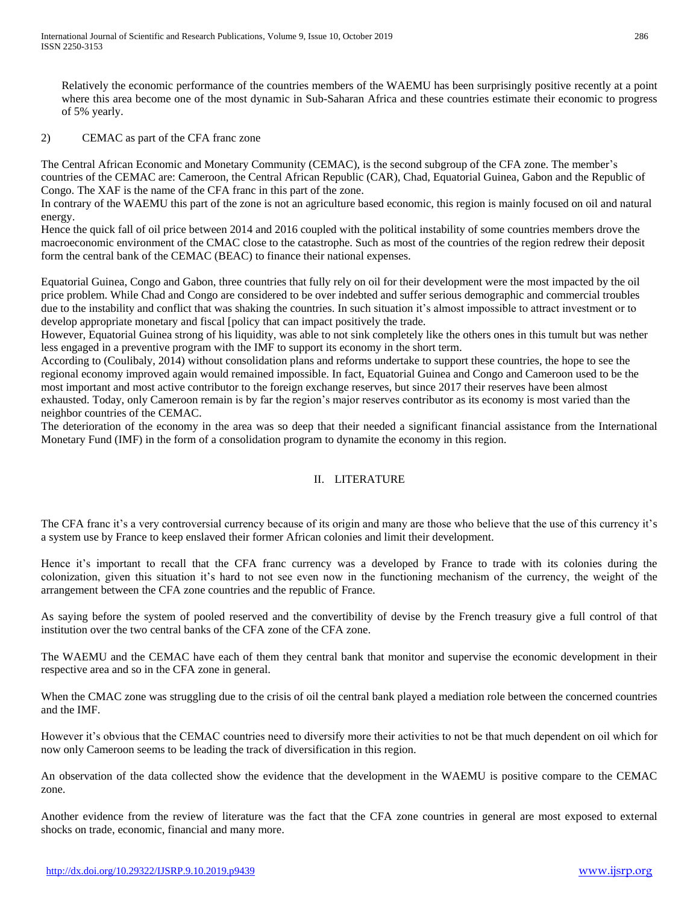Relatively the economic performance of the countries members of the WAEMU has been surprisingly positive recently at a point where this area become one of the most dynamic in Sub-Saharan Africa and these countries estimate their economic to progress of 5% yearly.

### 2) CEMAC as part of the CFA franc zone

The Central African Economic and Monetary Community (CEMAC), is the second subgroup of the CFA zone. The member's countries of the CEMAC are: Cameroon, the Central African Republic (CAR), Chad, Equatorial Guinea, Gabon and the Republic of Congo. The XAF is the name of the CFA franc in this part of the zone.

In contrary of the WAEMU this part of the zone is not an agriculture based economic, this region is mainly focused on oil and natural energy.

Hence the quick fall of oil price between 2014 and 2016 coupled with the political instability of some countries members drove the macroeconomic environment of the CMAC close to the catastrophe. Such as most of the countries of the region redrew their deposit form the central bank of the CEMAC (BEAC) to finance their national expenses.

Equatorial Guinea, Congo and Gabon, three countries that fully rely on oil for their development were the most impacted by the oil price problem. While Chad and Congo are considered to be over indebted and suffer serious demographic and commercial troubles due to the instability and conflict that was shaking the countries. In such situation it's almost impossible to attract investment or to develop appropriate monetary and fiscal [policy that can impact positively the trade.

However, Equatorial Guinea strong of his liquidity, was able to not sink completely like the others ones in this tumult but was nether less engaged in a preventive program with the IMF to support its economy in the short term.

According to (Coulibaly, 2014) without consolidation plans and reforms undertake to support these countries, the hope to see the regional economy improved again would remained impossible. In fact, Equatorial Guinea and Congo and Cameroon used to be the most important and most active contributor to the foreign exchange reserves, but since 2017 their reserves have been almost exhausted. Today, only Cameroon remain is by far the region's major reserves contributor as its economy is most varied than the neighbor countries of the CEMAC.

The deterioration of the economy in the area was so deep that their needed a significant financial assistance from the International Monetary Fund (IMF) in the form of a consolidation program to dynamite the economy in this region.

# II. LITERATURE

The CFA franc it's a very controversial currency because of its origin and many are those who believe that the use of this currency it's a system use by France to keep enslaved their former African colonies and limit their development.

Hence it's important to recall that the CFA franc currency was a developed by France to trade with its colonies during the colonization, given this situation it's hard to not see even now in the functioning mechanism of the currency, the weight of the arrangement between the CFA zone countries and the republic of France.

As saying before the system of pooled reserved and the convertibility of devise by the French treasury give a full control of that institution over the two central banks of the CFA zone of the CFA zone.

The WAEMU and the CEMAC have each of them they central bank that monitor and supervise the economic development in their respective area and so in the CFA zone in general.

When the CMAC zone was struggling due to the crisis of oil the central bank played a mediation role between the concerned countries and the IMF.

However it's obvious that the CEMAC countries need to diversify more their activities to not be that much dependent on oil which for now only Cameroon seems to be leading the track of diversification in this region.

An observation of the data collected show the evidence that the development in the WAEMU is positive compare to the CEMAC zone.

Another evidence from the review of literature was the fact that the CFA zone countries in general are most exposed to external shocks on trade, economic, financial and many more.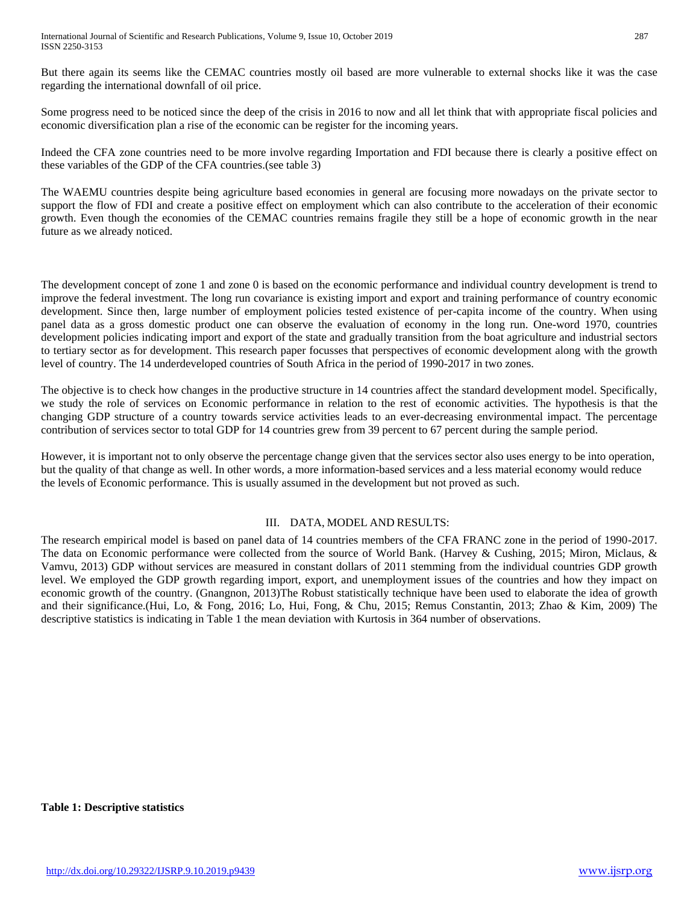But there again its seems like the CEMAC countries mostly oil based are more vulnerable to external shocks like it was the case regarding the international downfall of oil price.

Some progress need to be noticed since the deep of the crisis in 2016 to now and all let think that with appropriate fiscal policies and economic diversification plan a rise of the economic can be register for the incoming years.

Indeed the CFA zone countries need to be more involve regarding Importation and FDI because there is clearly a positive effect on these variables of the GDP of the CFA countries.(see table 3)

The WAEMU countries despite being agriculture based economies in general are focusing more nowadays on the private sector to support the flow of FDI and create a positive effect on employment which can also contribute to the acceleration of their economic growth. Even though the economies of the CEMAC countries remains fragile they still be a hope of economic growth in the near future as we already noticed.

The development concept of zone 1 and zone 0 is based on the economic performance and individual country development is trend to improve the federal investment. The long run covariance is existing import and export and training performance of country economic development. Since then, large number of employment policies tested existence of per-capita income of the country. When using panel data as a gross domestic product one can observe the evaluation of economy in the long run. One-word 1970, countries development policies indicating import and export of the state and gradually transition from the boat agriculture and industrial sectors to tertiary sector as for development. This research paper focusses that perspectives of economic development along with the growth level of country. The 14 underdeveloped countries of South Africa in the period of 1990-2017 in two zones.

The objective is to check how changes in the productive structure in 14 countries affect the standard development model. Specifically, we study the role of services on Economic performance in relation to the rest of economic activities. The hypothesis is that the changing GDP structure of a country towards service activities leads to an ever-decreasing environmental impact. The percentage contribution of services sector to total GDP for 14 countries grew from 39 percent to 67 percent during the sample period.

However, it is important not to only observe the percentage change given that the services sector also uses energy to be into operation, but the quality of that change as well. In other words, a more information-based services and a less material economy would reduce the levels of Economic performance. This is usually assumed in the development but not proved as such.

# III. DATA, MODEL AND RESULTS:

The research empirical model is based on panel data of 14 countries members of the CFA FRANC zone in the period of 1990-2017. The data on Economic performance were collected from the source of World Bank. (Harvey & Cushing, 2015; Miron, Miclaus, & Vamvu, 2013) GDP without services are measured in constant dollars of 2011 stemming from the individual countries GDP growth level. We employed the GDP growth regarding import, export, and unemployment issues of the countries and how they impact on economic growth of the country. (Gnangnon, 2013)The Robust statistically technique have been used to elaborate the idea of growth and their significance.(Hui, Lo, & Fong, 2016; Lo, Hui, Fong, & Chu, 2015; Remus Constantin, 2013; Zhao & Kim, 2009) The descriptive statistics is indicating in Table 1 the mean deviation with Kurtosis in 364 number of observations.

**Table 1: Descriptive statistics**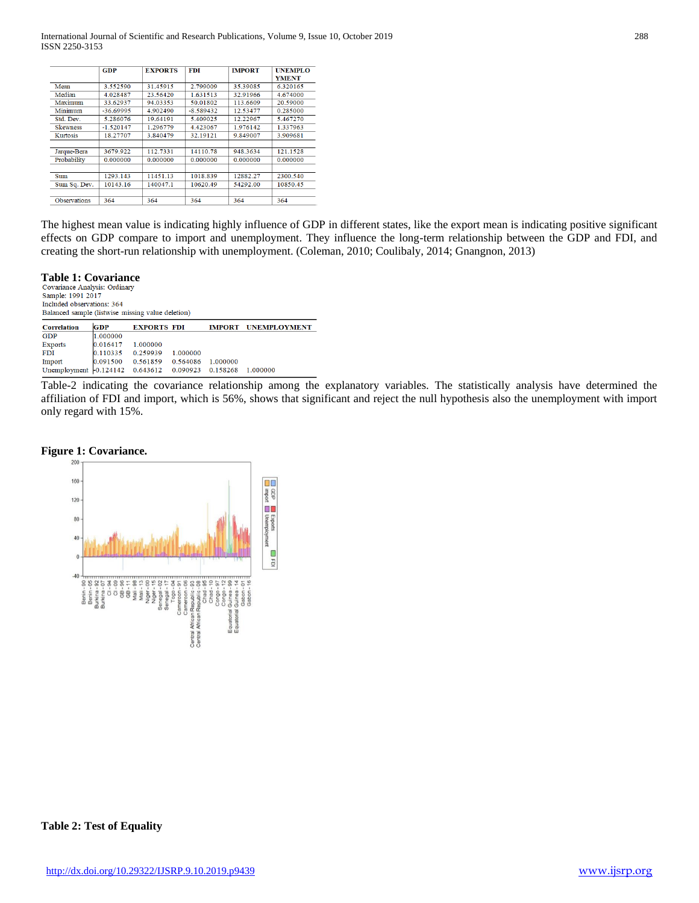|                     | <b>GDP</b>  | <b>EXPORTS</b> | <b>FDI</b>  | <b>IMPORT</b> | <b>UNEMPLO</b><br><b>YMENT</b> |
|---------------------|-------------|----------------|-------------|---------------|--------------------------------|
| Mean                | 3.552590    | 31.45915       | 2.799009    | 35.39085      | 6.320165                       |
| Median              | 4.028487    | 23.56420       | 1.631513    | 32.91966      | 4.674000                       |
| Maximum             | 33.62937    | 94.03353       | 50.01802    | 113.6609      | 20.59000                       |
| Minimum             | $-36.69995$ | 4.902490       | $-8.589432$ | 12.53477      | 0.285000                       |
| Std. Dev.           | 5.286076    | 19.64191       | 5.409025    | 12.22967      | 5.467270                       |
| <b>Skewness</b>     | $-1.520147$ | 1.296779       | 4.423067    | 1.976142      | 1.337963                       |
| Kurtosis            | 18.27707    | 3.840479       | 32.19121    | 9.849007      | 3.909681                       |
|                     |             |                |             |               |                                |
| Jarque-Bera         | 3679.922    | 112.7331       | 14110.78    | 948.3634      | 121.1528                       |
| Probability         | 0.000000    | 0.000000       | 0.000000    | 0.000000      | 0.000000                       |
|                     |             |                |             |               |                                |
| Sum                 | 1293.143    | 11451.13       | 1018.839    | 12882.27      | 2300.540                       |
| Sum Sq. Dev.        | 10143.16    | 140047.1       | 10620.49    | 54292.00      | 10850.45                       |
| <b>Observations</b> | 364         | 364            | 364         | 364           | 364                            |

The highest mean value is indicating highly influence of GDP in different states, like the export mean is indicating positive significant effects on GDP compare to import and unemployment. They influence the long-term relationship between the GDP and FDI, and creating the short-run relationship with unemployment. (Coleman, 2010; Coulibaly, 2014; Gnangnon, 2013)

# **Table 1: Covariance**

Sample: 1991 2017 Included observations: 364 Balanced sample (listwise missing value deletion)

| <b>Correlation</b>                                              | <b>GDP</b>             | <b>EXPORTS FDI</b>         |          |          | <b>IMPORT UNEMPLOYMENT</b> |
|-----------------------------------------------------------------|------------------------|----------------------------|----------|----------|----------------------------|
| GDP                                                             | 1.000000               |                            |          |          |                            |
| Exports                                                         | $ 0.016417 \t1.000000$ |                            |          |          |                            |
| <b>FDI</b>                                                      | $ 0.110335 \t0.259939$ |                            | 1.000000 |          |                            |
| Import                                                          |                        | 0.091500 0.561859 0.564086 |          | 1.000000 |                            |
| Unemployment   0.124142  0.643612  0.090923  0.158268  1.000000 |                        |                            |          |          |                            |

Table-2 indicating the covariance relationship among the explanatory variables. The statistically analysis have determined the affiliation of FDI and import, which is 56%, shows that significant and reject the null hypothesis also the unemployment with import only regard with 15%.

#### **Figure 1: Covariance.**



#### **Table 2: Test of Equality**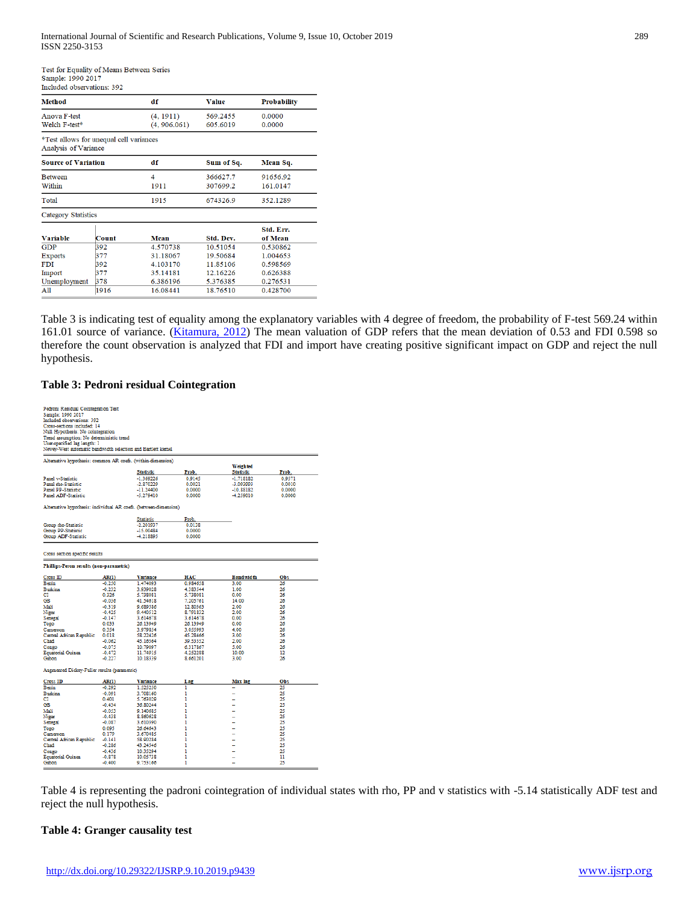Test for Equality of Means Between Series Sample: 1990 2017

| menneg observanous: 392                                         |       |              |            |                    |
|-----------------------------------------------------------------|-------|--------------|------------|--------------------|
| <b>Method</b>                                                   |       | df           | Value      | <b>Probability</b> |
| Anova F-test                                                    |       | (4, 1911)    | 569.2455   | 0.0000             |
| Welch F-test*                                                   |       | (4, 906.061) | 605.6019   | 0.0000             |
| *Test allows for unequal cell variances<br>Analysis of Variance |       |              |            |                    |
| <b>Source of Variation</b>                                      |       | df           | Sum of Sq. | Mean Sq.           |
| <b>Between</b>                                                  |       | 4            | 366627.7   | 91656.92           |
| Within                                                          |       | 1911         | 307699.2   | 161.0147           |
| Total                                                           |       | 1915         | 674326.9   | 352.1289           |
| Category Statistics                                             |       |              |            |                    |
|                                                                 |       |              |            | Std. Err.          |
| <b>Variable</b>                                                 | Count | Mean         | Std. Dev.  | of Mean            |
| GDP                                                             | 392   | 4.570738     | 10.51054   | 0.530862           |
| Exports                                                         | 377   | 31.18067     | 19.50684   | 1.004653           |
| <b>FDI</b>                                                      | 392   | 4.103170     | 11.85106   | 0.598569           |
| Import                                                          | 377   | 35.14181     | 12.16226   | 0.626388           |
| Unemployment                                                    | 378   | 6.386196     | 5.376385   | 0.276531           |
| A11                                                             | 1916  | 16.08441     | 18.76510   | 0.428700           |
|                                                                 |       |              |            |                    |
|                                                                 |       |              |            |                    |

Table 3 is indicating test of equality among the explanatory variables with 4 degree of freedom, the probability of F-test 569.24 within 161.01 source of variance. [\(Kitamura, 2012\)](#page-7-1) The mean valuation of GDP refers that the mean deviation of 0.53 and FDI 0.598 so therefore the count observation is analyzed that FDI and import have creating positive significant impact on GDP and reject the null hypothesis.

#### **Table 3: Pedroni residual Cointegration**

| Pedroni Residual Cointegration Test                              |          |                  |            |                  |        |
|------------------------------------------------------------------|----------|------------------|------------|------------------|--------|
| Sample: 1990 2017                                                |          |                  |            |                  |        |
| Included observations: 392                                       |          |                  |            |                  |        |
| Cross-sections included: 14                                      |          |                  |            |                  |        |
| Null Hypothesis: No cointegration                                |          |                  |            |                  |        |
| Trend assumption: No deterministic trend                         |          |                  |            |                  |        |
| User-specified lag length: 1                                     |          |                  |            |                  |        |
| Newey-West automatic bandwidth selection and Bartlett kemel      |          |                  |            |                  |        |
|                                                                  |          |                  |            |                  |        |
| Alternative hypothesis: common AR coefs. (within-dimension)      |          |                  |            | Weighted         |        |
|                                                                  |          | <b>Statistic</b> | Prob.      | <b>Statistic</b> | Prob.  |
| <b>Panel v-Statistic</b>                                         |          | $-1.369226$      | 0.9145     | $-1.718182$      | 0.9571 |
| Panel rho-Statistic                                              |          | $-2.870229$      | 0.0021     | -3.093993        | 0.0010 |
| <b>Panel PP-Statistic</b>                                        |          | $-11.24400$      | 0.0000     | $-10.88182$      | 0.0000 |
| Panel ADF-Statistic                                              |          | $-5.279410$      | 0.0000     | -4.259010        | 0.0000 |
|                                                                  |          |                  |            |                  |        |
| Alternative hypothesis: individual AR coefs. (between-dimension) |          |                  |            |                  |        |
|                                                                  |          | Statistic        | Prob.      |                  |        |
| Group rho-Statistic                                              |          | -2.201937        | 0.0138     |                  |        |
| Group PP-Statistic                                               |          | $-15.00484$      | 0.0000     |                  |        |
| Group ADF-Statistic                                              |          | -4.218895        | 0.0000     |                  |        |
|                                                                  |          |                  |            |                  |        |
|                                                                  |          |                  |            |                  |        |
| Cross section specific results                                   |          |                  |            |                  |        |
| Phillips-Peron results (non-parametric)                          |          |                  |            |                  |        |
| Cross ID                                                         | AR(1)    | <b>Variance</b>  | <b>HAC</b> | <b>Bandwidth</b> | Obs    |
| <b>Benin</b>                                                     | $-0.250$ | 1.474093         | 0.984658   | 3.00             | 26     |
| <b>Burkina</b>                                                   | $-0.232$ | 3.939028         | 4.383544   | 1.00             | 26     |
| CI                                                               | 0.326    | 5.738081         | 5.738081   | 0.00             | 26     |
| GB                                                               | $-0.036$ | 41.54618         | 7.205761   | 14.00            | 26     |
| Mali                                                             | $-0.319$ | 9.689586         | 12.80363   | 2.00             | 26     |
| Niger                                                            | $-0.425$ | 9.440512         | 8.791832   | 2.00             | 26     |
| Senegal                                                          | $-0.147$ | 3.614678         | 3.614678   | 0.00             | 26     |
| Togo                                                             | 0.033    | 26.13949         | 26.13949   | 0.00             | 26     |
| Cameroon                                                         | 0.354    | 3.979854         | 3.055993   | 4.00             | 26     |
| Central African Republic                                         | 0.018    | 58.22426         | 45.28466   | 3.00             | 26     |
| Chad                                                             | $-0.062$ | 45.16564         | 39.53552   | 2.00             | 26     |
| Congo                                                            | $-0.075$ | 10.79097         | 6.317867   | 5.00             | 26     |
| <b>Equatorial Guinea</b>                                         | $-0.472$ | 11.74915         | 4.252288   | 10.00            | 12     |
| Gabon                                                            | $-0.227$ | 10.18339         | 8.661201   | 3.00             | 26     |
| Augmented Dickey-Fuller results (parametric)                     |          |                  |            |                  |        |
| <b>Cross ID</b>                                                  | AR(1)    | <b>Variance</b>  | Lag        | Max lag          | Obs    |
| Benin                                                            | $-0.292$ | 1.525250         | 1          |                  | 25     |
| <b>Burkina</b>                                                   | $-0.091$ | 3.708160         | ı          |                  | 25     |
| CI                                                               | 0.401    | 5.763029         | 1          | ÷                | 25     |
| GB                                                               | $-0.434$ | 36.80244         | ı          | ۰                | 25     |
| Mali                                                             | $-0.053$ | 9.140685         | 1          |                  | 25     |
| Niger                                                            | $-0.438$ | 8.860628         | ı          | -<br>÷           | 25     |
| Senegal                                                          | $-0.087$ | 3.610390         | 1          |                  | 25     |
|                                                                  | 0.095    | 26.64643         | 1          |                  | 25     |
| Togo<br>Cameroon                                                 | 0.179    | 3.670485         | 1          | ÷                | 25     |
| Central African Republic                                         | $-0.141$ | 58.90284         | 1          | -                | 25     |
| Chad                                                             | $-0.286$ | 43.24546         | 1          | ÷<br>÷           | 25     |
| Congo                                                            | $-0.436$ | 10.35294         | ı          |                  | 25     |
| <b>Equatorial Guinea</b>                                         | $-0.878$ | 10.05738         | 1          |                  | 11     |
| Gabon                                                            | $-0.400$ | 9.753166         | 1          |                  | 25     |
|                                                                  |          |                  |            |                  |        |

Table 4 is representing the padroni cointegration of individual states with rho, PP and v statistics with -5.14 statistically ADF test and reject the null hypothesis.

#### **Table 4: Granger causality test**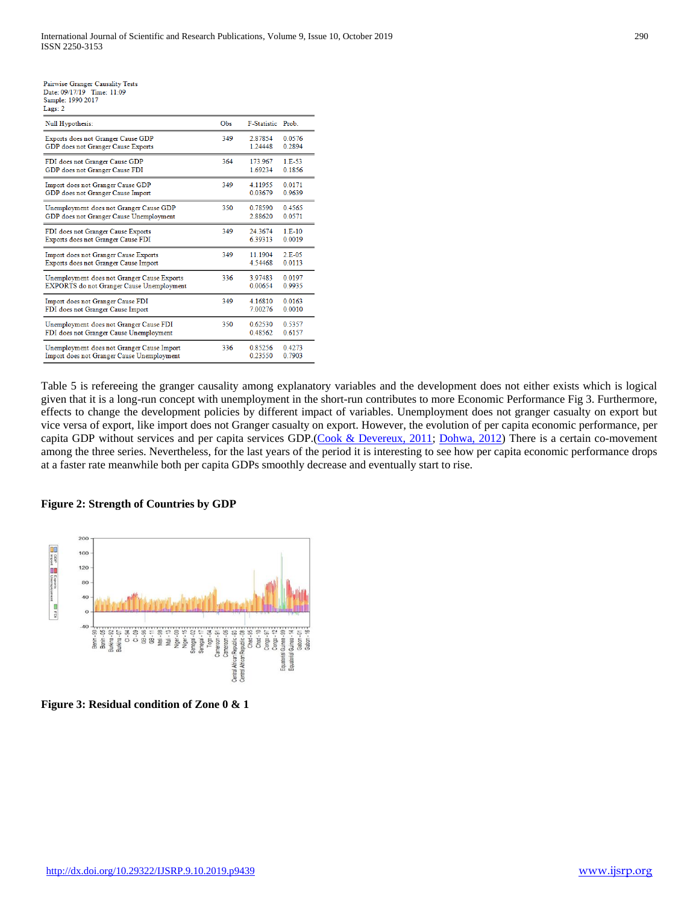| Null Hypothesis:                                 | Obs | F-Statistic Prob. |          |
|--------------------------------------------------|-----|-------------------|----------|
| Exports does not Granger Cause GDP               | 349 | 2.87854           | 0.0576   |
| GDP does not Granger Cause Exports               |     | 1 24448           | 0.2894   |
| FDI does not Granger Cause GDP                   | 364 | 173 967           | $1E-53$  |
| GDP does not Granger Cause FDI                   |     | 1.69234           | 0.1856   |
| Import does not Granger Cause GDP                | 349 | 4.11955           | 0.0171   |
| GDP does not Granger Cause Import                |     | 0.03679           | 0.9639   |
| Unemployment does not Granger Cause GDP          | 350 | 0.78590           | 0.4565   |
| GDP does not Granger Cause Unemployment          |     | 2.88620           | 0.0571   |
| FDI does not Granger Cause Exports               | 349 | 24.3674           | $1.E-10$ |
| Exports does not Granger Cause FDI               |     | 6.39313           | 0.0019   |
| Import does not Granger Cause Exports            | 349 | 11.1904           | $2E-05$  |
| Exports does not Granger Cause Import            |     | 4.54468           | 0.0113   |
| Unemployment does not Granger Cause Exports      | 336 | 3.97483           | 0.0197   |
| <b>EXPORTS</b> do not Granger Cause Unemployment |     | 0.00654           | 0.9935   |
| Import does not Granger Cause FDI                | 349 | 4.16810           | 0.0163   |
| FDI does not Granger Cause Import                |     | 7.00276           | 0.0010   |
| Unemployment does not Granger Cause FDI          | 350 | 0.62530           | 0.5357   |
| FDI does not Granger Cause Unemployment          |     | 0.48562           | 0.6157   |
| Unemployment does not Granger Cause Import       | 336 | 0.85256           | 0.4273   |

Table 5 is refereeing the granger causality among explanatory variables and the development does not either exists which is logical given that it is a long-run concept with unemployment in the short-run contributes to more Economic Performance Fig 3. Furthermore, effects to change the development policies by different impact of variables. Unemployment does not granger casualty on export but vice versa of export, like import does not Granger casualty on export. However, the evolution of per capita economic performance, per capita GDP without services and per capita services GDP.[\(Cook & Devereux, 2011;](#page-7-2) [Dohwa, 2012\)](#page-7-3) There is a certain co-movement among the three series. Nevertheless, for the last years of the period it is interesting to see how per capita economic performance drops at a faster rate meanwhile both per capita GDPs smoothly decrease and eventually start to rise.

0.23550

0.7903

#### **Figure 2: Strength of Countries by GDP**

Import does not Granger Cause Unemployment



**Figure 3: Residual condition of Zone 0 & 1**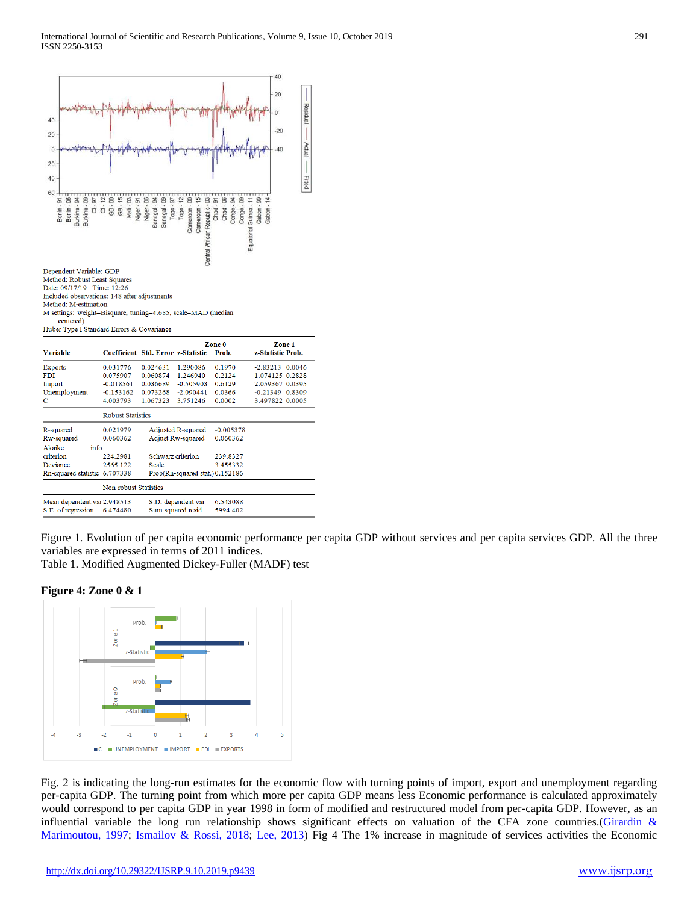

Figure 1. Evolution of per capita economic performance per capita GDP without services and per capita services GDP. All the three variables are expressed in terms of 2011 indices.

Table 1. Modified Augmented Dickey-Fuller (MADF) test

**Figure 4: Zone 0 & 1**



Fig. 2 is indicating the long-run estimates for the economic flow with turning points of import, export and unemployment regarding per-capita GDP. The turning point from which more per capita GDP means less Economic performance is calculated approximately would correspond to per capita GDP in year 1998 in form of modified and restructured model from per-capita GDP. However, as an influential variable the long run relationship shows significant effects on valuation of the CFA zone countries. (Girardin  $&$ [Marimoutou, 1997;](#page-7-4) [Ismailov & Rossi,](#page-7-5) 2018; [Lee, 2013\)](#page-7-6) Fig 4 The 1% increase in magnitude of services activities the Economic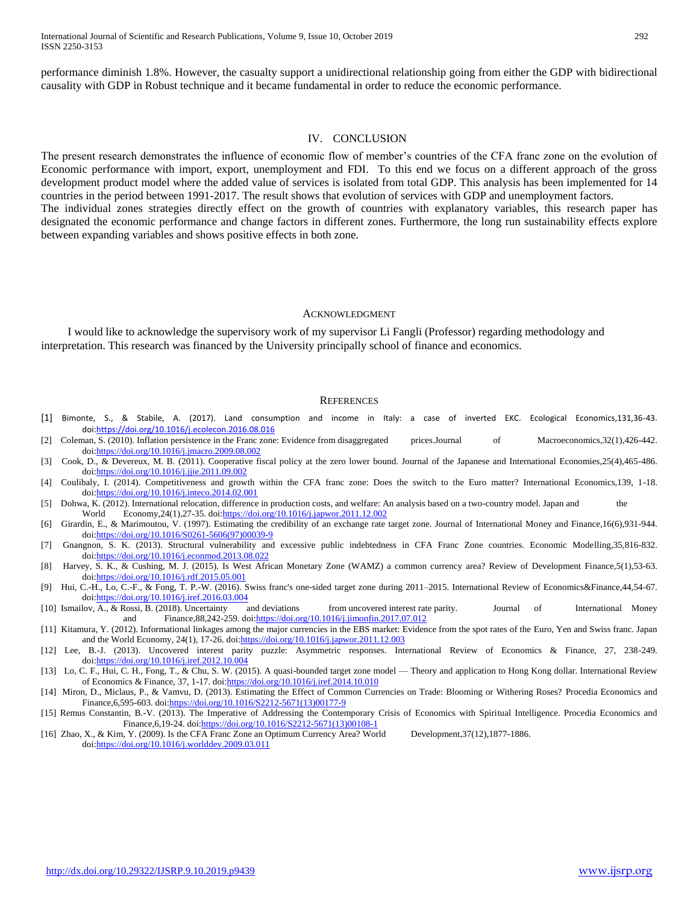performance diminish 1.8%. However, the casualty support a unidirectional relationship going from either the GDP with bidirectional causality with GDP in Robust technique and it became fundamental in order to reduce the economic performance.

#### IV. CONCLUSION

The present research demonstrates the influence of economic flow of member's countries of the CFA franc zone on the evolution of Economic performance with import, export, unemployment and FDI. To this end we focus on a different approach of the gross development product model where the added value of services is isolated from total GDP. This analysis has been implemented for 14 countries in the period between 1991-2017. The result shows that evolution of services with GDP and unemployment factors. The individual zones strategies directly effect on the growth of countries with explanatory variables, this research paper has designated the economic performance and change factors in different zones. Furthermore, the long run sustainability effects explore between expanding variables and shows positive effects in both zone.

#### ACKNOWLEDGMENT

I would like to acknowledge the supervisory work of my supervisor Li Fangli (Professor) regarding methodology and interpretation. This research was financed by the University principally school of finance and economics.

#### **REFERENCES**

- <span id="page-7-0"></span>[1] Bimonte, S., & Stabile, A. (2017). Land consumption and income in Italy: a case of inverted EKC. Ecological Economics,131,36-43. do[i:https://doi.org/10.1016/j.ecolecon.2016.08.016](https://doi.org/10.1016/j.ecolecon.2016.08.016)
- [2] Coleman, S. (2010). Inflation persistence in the Franc zone: Evidence from disaggregated prices.Journal of Macroeconomics,32(1),426-442. do[i:https://doi.org/10.1016/j.jmacro.2009.08.002](https://doi.org/10.1016/j.jmacro.2009.08.002)
- <span id="page-7-2"></span>[3] Cook, D., & Devereux, M. B. (2011). Cooperative fiscal policy at the zero lower bound. Journal of the Japanese and International Economies,25(4),465-486. do[i:https://doi.org/10.1016/j.jjie.2011.09.002](https://doi.org/10.1016/j.jjie.2011.09.002)
- [4] Coulibaly, I. (2014). Competitiveness and growth within the CFA franc zone: Does the switch to the Euro matter? International Economics,139, 1-18. do[i:https://doi.org/10.1016/j.inteco.2014.02.001](https://doi.org/10.1016/j.inteco.2014.02.001)
- <span id="page-7-3"></span>[5] Dohwa, K. (2012). International relocation, difference in production costs, and welfare: An analysis based on a two-country model. Japan and the World Economy,24(1),27-35. doi[:https://doi.org/10.1016/j.japwor.2011.12.002](https://doi.org/10.1016/j.japwor.2011.12.002)
- <span id="page-7-4"></span>[6] Girardin, E., & Marimoutou, V. (1997). Estimating the credibility of an exchange rate target zone. Journal of International Money and Finance,16(6),931-944. do[i:https://doi.org/10.1016/S0261-5606\(97\)00039-9](https://doi.org/10.1016/S0261-5606(97)00039-9)
- [7] Gnangnon, S. K. (2013). Structural vulnerability and excessive public indebtedness in CFA Franc Zone countries. Economic Modelling,35,816-832. do[i:https://doi.org/10.1016/j.econmod.2013.08.022](https://doi.org/10.1016/j.econmod.2013.08.022)
- [8] Harvey, S. K., & Cushing, M. J. (2015). Is West African Monetary Zone (WAMZ) a common currency area? Review of Development Finance,5(1),53-63. do[i:https://doi.org/10.1016/j.rdf.2015.05.001](https://doi.org/10.1016/j.rdf.2015.05.001)
- [9] Hui, C.-H., Lo, C.-F., & Fong, T. P.-W. (2016). Swiss franc's one-sided target zone during 2011–2015. International Review of Economics&Finance,44,54-67. do[i:https://doi.org/10.1016/j.iref.2016.03.004](https://doi.org/10.1016/j.iref.2016.03.004)
- <span id="page-7-5"></span>[10] Ismailov, A., & Rossi, B. (2018). Uncertainty and deviations from uncovered interest rate parity. Journal of International Money and Finance, 88, 242-259. doi: https://doi.org/10.1016/j.jimonfin. 2017.07.012
- <span id="page-7-1"></span>[11] Kitamura, Y. (2012). Informational linkages among the major currencies in the EBS market: Evidence from the spot rates of the Euro, Yen and Swiss franc. Japan and the World Economy, 24(1), 17-26. doi: https://doi.org/10.1016/j.japwor.2011.12.003
- <span id="page-7-6"></span>[12] Lee, B.-J. (2013). Uncovered interest parity puzzle: Asymmetric responses. International Review of Economics & Finance, 27, 238-249. do[i:https://doi.org/10.1016/j.iref.2012.10.004](https://doi.org/10.1016/j.iref.2012.10.004)
- [13] Lo, C. F., Hui, C. H., Fong, T., & Chu, S. W. (2015). A quasi-bounded target zone model Theory and application to Hong Kong dollar. International Review of Economics & Finance, 37, 1-17. doi[:https://doi.org/10.1016/j.iref.2014.10.010](https://doi.org/10.1016/j.iref.2014.10.010)
- [14] Miron, D., Miclaus, P., & Vamvu, D. (2013). Estimating the Effect of Common Currencies on Trade: Blooming or Withering Roses? Procedia Economics and Finance,6,595-603. do[i:https://doi.org/10.1016/S2212-5671\(13\)00177-9](https://doi.org/10.1016/S2212-5671(13)00177-9)
- [15] Remus Constantin, B.-V. (2013). The Imperative of Addressing the Contemporary Crisis of Economics with Spiritual Intelligence. Procedia Economics and Finance,6,19-24. do[i:https://doi.org/10.1016/S2212-5671\(13\)00108-1](https://doi.org/10.1016/S2212-5671(13)00108-1)
- [16] Zhao, X., & Kim, Y. (2009). Is the CFA Franc Zone an Optimum Currency Area? World Development,37(12),1877-1886. do[i:https://doi.org/10.1016/j.worlddev.2009.03.011](https://doi.org/10.1016/j.worlddev.2009.03.011)